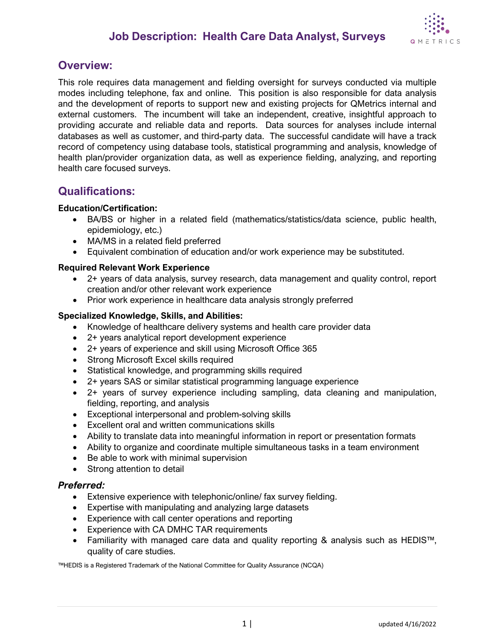

### **Overview:**

This role requires data management and fielding oversight for surveys conducted via multiple modes including telephone, fax and online. This position is also responsible for data analysis and the development of reports to support new and existing projects for QMetrics internal and external customers. The incumbent will take an independent, creative, insightful approach to providing accurate and reliable data and reports. Data sources for analyses include internal databases as well as customer, and third-party data. The successful candidate will have a track record of competency using database tools, statistical programming and analysis, knowledge of health plan/provider organization data, as well as experience fielding, analyzing, and reporting health care focused surveys.

### **Qualifications:**

#### **Education/Certification:**

- BA/BS or higher in a related field (mathematics/statistics/data science, public health, epidemiology, etc.)
- MA/MS in a related field preferred
- Equivalent combination of education and/or work experience may be substituted.

#### **Required Relevant Work Experience**

- 2+ years of data analysis, survey research, data management and quality control, report creation and/or other relevant work experience
- Prior work experience in healthcare data analysis strongly preferred

#### **Specialized Knowledge, Skills, and Abilities:**

- Knowledge of healthcare delivery systems and health care provider data
- 2+ years analytical report development experience
- 2+ years of experience and skill using Microsoft Office 365
- Strong Microsoft Excel skills required
- Statistical knowledge, and programming skills required
- 2+ years SAS or similar statistical programming language experience
- 2+ years of survey experience including sampling, data cleaning and manipulation, fielding, reporting, and analysis
- Exceptional interpersonal and problem-solving skills
- Excellent oral and written communications skills
- Ability to translate data into meaningful information in report or presentation formats
- Ability to organize and coordinate multiple simultaneous tasks in a team environment
- Be able to work with minimal supervision
- Strong attention to detail

#### *Preferred:*

- Extensive experience with telephonic/online/ fax survey fielding.
- Expertise with manipulating and analyzing large datasets
- Experience with call center operations and reporting
- Experience with CA DMHC TAR requirements
- Familiarity with managed care data and quality reporting & analysis such as HEDIS™, quality of care studies.

™HEDIS is a Registered Trademark of the National Committee for Quality Assurance (NCQA)